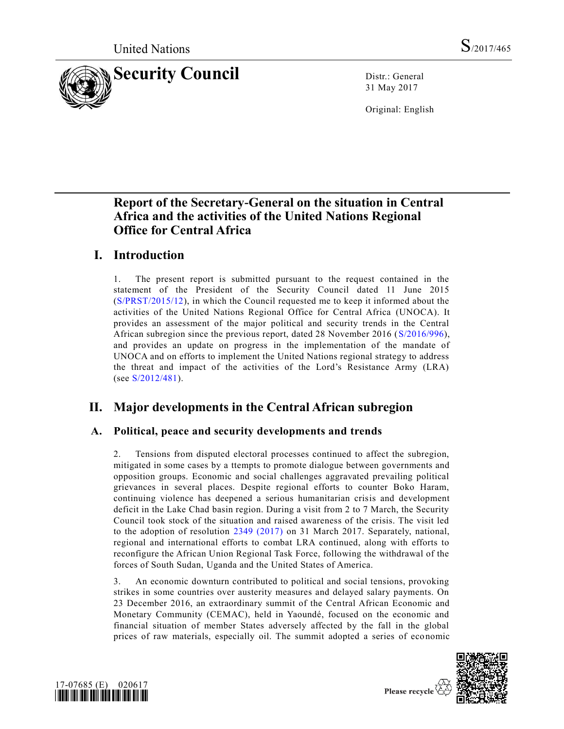

31 May 2017

Original: English

## **Report of the Secretary-General on the situation in Central Africa and the activities of the United Nations Regional Office for Central Africa**

## **I. Introduction**

1. The present report is submitted pursuant to the request contained in the statement of the President of the Security Council dated 11 June 2015 [\(S/PRST/2015/12\)](https://undocs.org/S/PRST/2015/12), in which the Council requested me to keep it informed about the activities of the United Nations Regional Office for Central Africa (UNOCA). It provides an assessment of the major political and security trends in the Central African subregion since the previous report, dated 28 November 2016 [\(S/2016/996\)](https://undocs.org/S/2016/996), and provides an update on progress in the implementation of the mandate of UNOCA and on efforts to implement the United Nations regional strategy to address the threat and impact of the activities of the Lord's Resistance Army (LRA) (see [S/2012/481\)](https://undocs.org/S/2012/481).

# **II. Major developments in the Central African subregion**

## **A. Political, peace and security developments and trends**

2. Tensions from disputed electoral processes continued to affect the subregion, mitigated in some cases by a ttempts to promote dialogue between governments and opposition groups. Economic and social challenges aggravated prevailing political grievances in several places. Despite regional efforts to counter Boko Haram, continuing violence has deepened a serious humanitarian crisis and development deficit in the Lake Chad basin region. During a visit from 2 to 7 March, the Security Council took stock of the situation and raised awareness of the crisis. The visit led to the adoption of resolution [2349 \(2017\)](https://undocs.org/S/RES/2349(2017)) on 31 March 2017. Separately, national, regional and international efforts to combat LRA continued, along with efforts to reconfigure the African Union Regional Task Force, following the withdrawal of the forces of South Sudan, Uganda and the United States of America.

3. An economic downturn contributed to political and social tensions, provoking strikes in some countries over austerity measures and delayed salary payments. On 23 December 2016, an extraordinary summit of the Central African Economic and Monetary Community (CEMAC), held in Yaoundé, focused on the economic and financial situation of member States adversely affected by the fall in the global prices of raw materials, especially oil. The summit adopted a series of economic



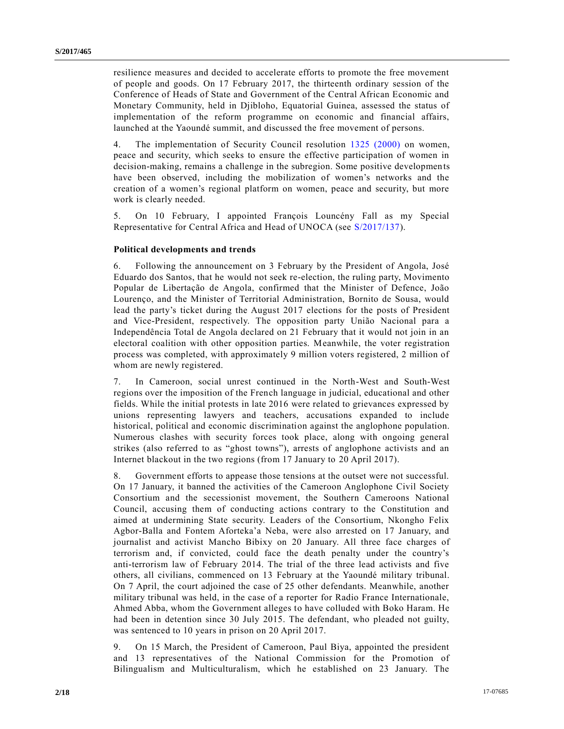resilience measures and decided to accelerate efforts to promote the free movement of people and goods. On 17 February 2017, the thirteenth ordinary session of the Conference of Heads of State and Government of the Central African Economic and Monetary Community, held in Djibloho, Equatorial Guinea, assessed the status of implementation of the reform programme on economic and financial affairs, launched at the Yaoundé summit, and discussed the free movement of persons.

4. The implementation of Security Council resolution [1325 \(2000\)](https://undocs.org/S/RES/1325(2000)) on women, peace and security, which seeks to ensure the effective participation of women in decision-making, remains a challenge in the subregion. Some positive developments have been observed, including the mobilization of women's networks and the creation of a women's regional platform on women, peace and security, but more work is clearly needed.

5. On 10 February, I appointed François Louncény Fall as my Special Representative for Central Africa and Head of UNOCA (see [S/2017/137\)](https://undocs.org/S/2017/137).

#### **Political developments and trends**

6. Following the announcement on 3 February by the President of Angola, José Eduardo dos Santos, that he would not seek re-election, the ruling party, Movimento Popular de Libertação de Angola, confirmed that the Minister of Defence, João Lourenço, and the Minister of Territorial Administration, Bornito de Sousa, would lead the party's ticket during the August 2017 elections for the posts of President and Vice-President, respectively. The opposition party União Nacional para a Independência Total de Angola declared on 21 February that it would not join in an electoral coalition with other opposition parties. Meanwhile, the voter registration process was completed, with approximately 9 million voters registered, 2 million of whom are newly registered.

7. In Cameroon, social unrest continued in the North-West and South-West regions over the imposition of the French language in judicial, educational and other fields. While the initial protests in late 2016 were related to grievances expressed by unions representing lawyers and teachers, accusations expanded to include historical, political and economic discrimination against the anglophone population. Numerous clashes with security forces took place, along with ongoing general strikes (also referred to as "ghost towns"), arrests of anglophone activists and an Internet blackout in the two regions (from 17 January to 20 April 2017).

8. Government efforts to appease those tensions at the outset were not successful. On 17 January, it banned the activities of the Cameroon Anglophone Civil Society Consortium and the secessionist movement, the Southern Cameroons National Council, accusing them of conducting actions contrary to the Constitution and aimed at undermining State security. Leaders of the Consortium, Nkongho Felix Agbor-Balla and Fontem Aforteka'a Neba, were also arrested on 17 January, and journalist and activist Mancho Bibixy on 20 January. All three face charges of terrorism and, if convicted, could face the death penalty under the country's anti-terrorism law of February 2014. The trial of the three lead activists and five others, all civilians, commenced on 13 February at the Yaoundé military tribunal. On 7 April, the court adjoined the case of 25 other defendants. Meanwhile, another military tribunal was held, in the case of a reporter for Radio France Internationale, Ahmed Abba, whom the Government alleges to have colluded with Boko Haram. He had been in detention since 30 July 2015. The defendant, who pleaded not guilty, was sentenced to 10 years in prison on 20 April 2017.

9. On 15 March, the President of Cameroon, Paul Biya, appointed the president and 13 representatives of the National Commission for the Promotion of Bilingualism and Multiculturalism, which he established on 23 January. The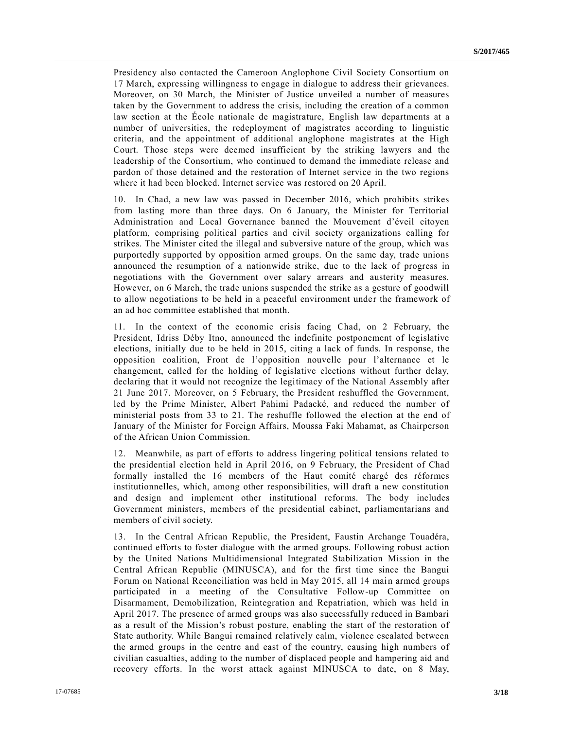Presidency also contacted the Cameroon Anglophone Civil Society Consortium on 17 March, expressing willingness to engage in dialogue to address their grievances. Moreover, on 30 March, the Minister of Justice unveiled a number of measures taken by the Government to address the crisis, including the creation of a common law section at the École nationale de magistrature, English law departments at a number of universities, the redeployment of magistrates according to linguistic criteria, and the appointment of additional anglophone magistrates at the High Court. Those steps were deemed insufficient by the striking lawyers and the leadership of the Consortium, who continued to demand the immediate release and pardon of those detained and the restoration of Internet service in the two regions where it had been blocked. Internet service was restored on 20 April.

10. In Chad, a new law was passed in December 2016, which prohibits strikes from lasting more than three days. On 6 January, the Minister for Territorial Administration and Local Governance banned the Mouvement d'éveil citoyen platform, comprising political parties and civil society organizations calling for strikes. The Minister cited the illegal and subversive nature of the group, which was purportedly supported by opposition armed groups. On the same day, trade unions announced the resumption of a nationwide strike, due to the lack of progress in negotiations with the Government over salary arrears and austerity measures. However, on 6 March, the trade unions suspended the strike as a gesture of goodwill to allow negotiations to be held in a peaceful environment under the framework of an ad hoc committee established that month.

11. In the context of the economic crisis facing Chad, on 2 February, the President, Idriss Déby Itno, announced the indefinite postponement of legislative elections, initially due to be held in 2015, citing a lack of funds. In response, the opposition coalition, Front de l'opposition nouvelle pour l'alternance et le changement, called for the holding of legislative elections without further delay, declaring that it would not recognize the legitimacy of the National Assembly after 21 June 2017. Moreover, on 5 February, the President reshuffled the Government, led by the Prime Minister, Albert Pahimi Padacké, and reduced the number of ministerial posts from 33 to 21. The reshuffle followed the election at the end of January of the Minister for Foreign Affairs, Moussa Faki Mahamat, as Chairperson of the African Union Commission.

12. Meanwhile, as part of efforts to address lingering political tensions related to the presidential election held in April 2016, on 9 February, the President of Chad formally installed the 16 members of the Haut comité chargé des réformes institutionnelles, which, among other responsibilities, will draft a new constitution and design and implement other institutional reforms. The body includes Government ministers, members of the presidential cabinet, parliamentarians and members of civil society.

13. In the Central African Republic, the President, Faustin Archange Touadéra, continued efforts to foster dialogue with the armed groups. Following robust action by the United Nations Multidimensional Integrated Stabilization Mission in the Central African Republic (MINUSCA), and for the first time since the Bangui Forum on National Reconciliation was held in May 2015, all 14 main armed groups participated in a meeting of the Consultative Follow-up Committee on Disarmament, Demobilization, Reintegration and Repatriation, which was held in April 2017. The presence of armed groups was also successfully reduced in Bambari as a result of the Mission's robust posture, enabling the start of the restoration of State authority. While Bangui remained relatively calm, violence escalated between the armed groups in the centre and east of the country, causing high numbers of civilian casualties, adding to the number of displaced people and hampering aid and recovery efforts. In the worst attack against MINUSCA to date, on 8 May,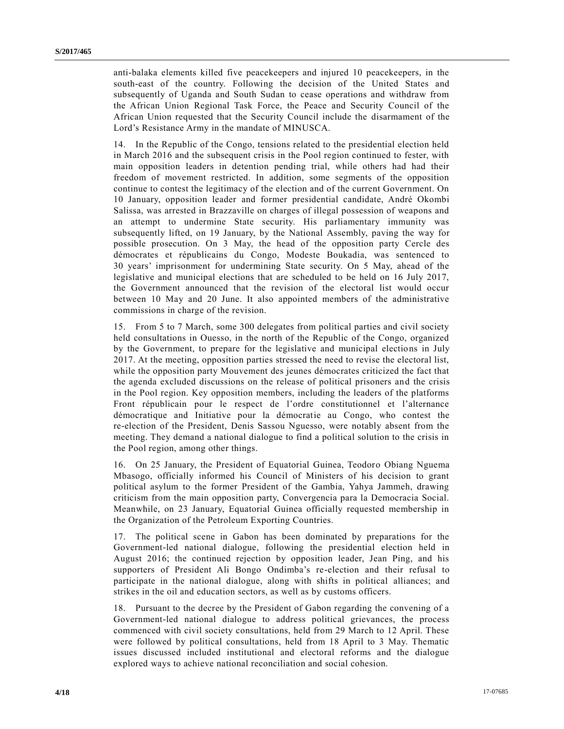anti-balaka elements killed five peacekeepers and injured 10 peacekeepers, in the south-east of the country. Following the decision of the United States and subsequently of Uganda and South Sudan to cease operations and withdraw from the African Union Regional Task Force, the Peace and Security Council of the African Union requested that the Security Council include the disarmament of the Lord's Resistance Army in the mandate of MINUSCA.

14. In the Republic of the Congo, tensions related to the presidential election held in March 2016 and the subsequent crisis in the Pool region continued to fester, with main opposition leaders in detention pending trial, while others had had their freedom of movement restricted. In addition, some segments of the opposition continue to contest the legitimacy of the election and of the current Government. On 10 January, opposition leader and former presidential candidate, André Okombi Salissa, was arrested in Brazzaville on charges of illegal possession of weapons and an attempt to undermine State security. His parliamentary immunity was subsequently lifted, on 19 January, by the National Assembly, paving the way for possible prosecution. On 3 May, the head of the opposition party Cercle des démocrates et républicains du Congo, Modeste Boukadia, was sentenced to 30 years' imprisonment for undermining State security. On 5 May, ahead of the legislative and municipal elections that are scheduled to be held on 16 July 2017, the Government announced that the revision of the electoral list would occur between 10 May and 20 June. It also appointed members of the administrative commissions in charge of the revision.

15. From 5 to 7 March, some 300 delegates from political parties and civil society held consultations in Ouesso, in the north of the Republic of the Congo, organized by the Government, to prepare for the legislative and municipal elections in July 2017. At the meeting, opposition parties stressed the need to revise the electoral list, while the opposition party Mouvement des jeunes démocrates criticized the fact that the agenda excluded discussions on the release of political prisoners and the crisis in the Pool region. Key opposition members, including the leaders of the platforms Front républicain pour le respect de l'ordre constitutionnel et l'alternance démocratique and Initiative pour la démocratie au Congo, who contest the re-election of the President, Denis Sassou Nguesso, were notably absent from the meeting. They demand a national dialogue to find a political solution to the crisis in the Pool region, among other things.

16. On 25 January, the President of Equatorial Guinea, Teodoro Obiang Nguema Mbasogo, officially informed his Council of Ministers of his decision to grant political asylum to the former President of the Gambia, Yahya Jammeh, drawing criticism from the main opposition party, Convergencia para la Democracia Social. Meanwhile, on 23 January, Equatorial Guinea officially requested membership in the Organization of the Petroleum Exporting Countries.

17. The political scene in Gabon has been dominated by preparations for the Government-led national dialogue, following the presidential election held in August 2016; the continued rejection by opposition leader, Jean Ping, and his supporters of President Ali Bongo Ondimba's re-election and their refusal to participate in the national dialogue, along with shifts in political alliances; and strikes in the oil and education sectors, as well as by customs officers.

18. Pursuant to the decree by the President of Gabon regarding the convening of a Government-led national dialogue to address political grievances, the process commenced with civil society consultations, held from 29 March to 12 April. These were followed by political consultations, held from 18 April to 3 May. Thematic issues discussed included institutional and electoral reforms and the dialogue explored ways to achieve national reconciliation and social cohesion.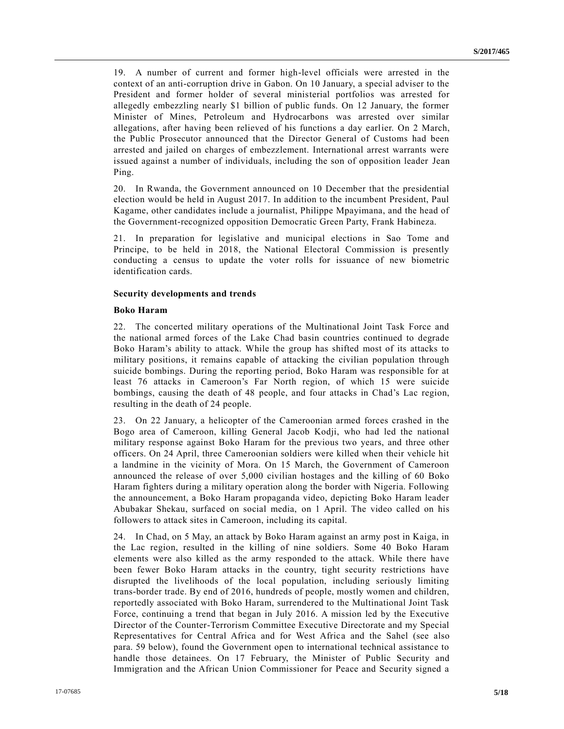19. A number of current and former high-level officials were arrested in the context of an anti-corruption drive in Gabon. On 10 January, a special adviser to the President and former holder of several ministerial portfolios was arrested for allegedly embezzling nearly \$1 billion of public funds. On 12 January, the former Minister of Mines, Petroleum and Hydrocarbons was arrested over similar allegations, after having been relieved of his functions a day earlier. On 2 March, the Public Prosecutor announced that the Director General of Customs had been arrested and jailed on charges of embezzlement. International arrest warrants were issued against a number of individuals, including the son of opposition leader Jean Ping.

20. In Rwanda, the Government announced on 10 December that the presidential election would be held in August 2017. In addition to the incumbent President, Paul Kagame, other candidates include a journalist, Philippe Mpayimana, and the head of the Government-recognized opposition Democratic Green Party, Frank Habineza.

21. In preparation for legislative and municipal elections in Sao Tome and Principe, to be held in 2018, the National Electoral Commission is presently conducting a census to update the voter rolls for issuance of new biometric identification cards.

#### **Security developments and trends**

#### **Boko Haram**

22. The concerted military operations of the Multinational Joint Task Force and the national armed forces of the Lake Chad basin countries continued to degrade Boko Haram's ability to attack. While the group has shifted most of its attacks to military positions, it remains capable of attacking the civilian population through suicide bombings. During the reporting period, Boko Haram was responsible for at least 76 attacks in Cameroon's Far North region, of which 15 were suicide bombings, causing the death of 48 people, and four attacks in Chad's Lac region, resulting in the death of 24 people.

23. On 22 January, a helicopter of the Cameroonian armed forces crashed in the Bogo area of Cameroon, killing General Jacob Kodji, who had led the national military response against Boko Haram for the previous two years, and three other officers. On 24 April, three Cameroonian soldiers were killed when their vehicle hit a landmine in the vicinity of Mora. On 15 March, the Government of Cameroon announced the release of over 5,000 civilian hostages and the killing of 60 Boko Haram fighters during a military operation along the border with Nigeria. Following the announcement, a Boko Haram propaganda video, depicting Boko Haram leader Abubakar Shekau, surfaced on social media, on 1 April. The video called on his followers to attack sites in Cameroon, including its capital.

24. In Chad, on 5 May, an attack by Boko Haram against an army post in Kaiga, in the Lac region, resulted in the killing of nine soldiers. Some 40 Boko Haram elements were also killed as the army responded to the attack. While there have been fewer Boko Haram attacks in the country, tight security restrictions have disrupted the livelihoods of the local population, including seriously limiting trans-border trade. By end of 2016, hundreds of people, mostly women and children, reportedly associated with Boko Haram, surrendered to the Multinational Joint Task Force, continuing a trend that began in July 2016. A mission led by the Executive Director of the Counter-Terrorism Committee Executive Directorate and my Special Representatives for Central Africa and for West Africa and the Sahel (see also para. 59 below), found the Government open to international technical assistance to handle those detainees. On 17 February, the Minister of Public Security and Immigration and the African Union Commissioner for Peace and Security signed a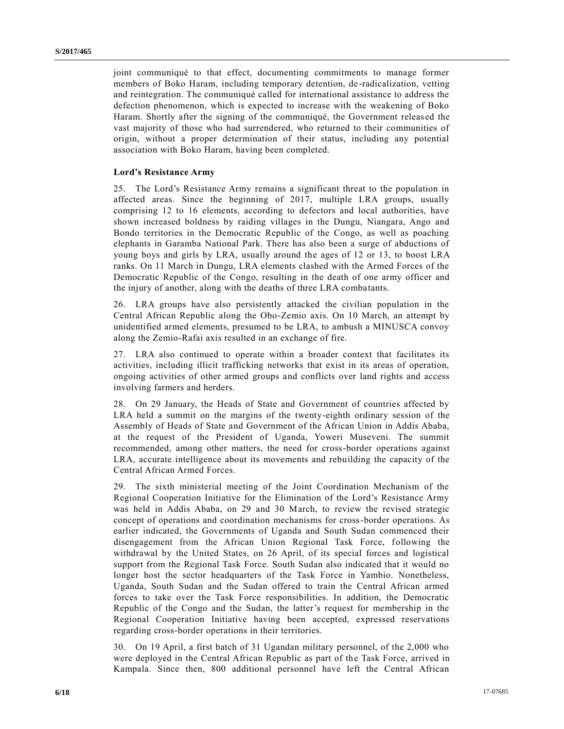joint communiqué to that effect, documenting commitments to manage former members of Boko Haram, including temporary detention, de-radicalization, vetting and reintegration. The communiqué called for international assistance to address the defection phenomenon, which is expected to increase with the weakening of Boko Haram. Shortly after the signing of the communiqué, the Government released the vast majority of those who had surrendered, who returned to their communities of origin, without a proper determination of their status, including any potential association with Boko Haram, having been completed.

#### **Lord's Resistance Army**

25. The Lord's Resistance Army remains a significant threat to the population in affected areas. Since the beginning of 2017, multiple LRA groups, usually comprising 12 to 16 elements, according to defectors and local authorities, have shown increased boldness by raiding villages in the Dungu, Niangara, Ango and Bondo territories in the Democratic Republic of the Congo, as well as poaching elephants in Garamba National Park. There has also been a surge of abductions of young boys and girls by LRA, usually around the ages of 12 or 13, to boost LRA ranks. On 11 March in Dungu, LRA elements clashed with the Armed Forces of the Democratic Republic of the Congo, resulting in the death of one army officer and the injury of another, along with the deaths of three LRA combatants.

26. LRA groups have also persistently attacked the civilian population in the Central African Republic along the Obo-Zemio axis. On 10 March, an attempt by unidentified armed elements, presumed to be LRA, to ambush a MINUSCA convoy along the Zemio-Rafai axis resulted in an exchange of fire.

27. LRA also continued to operate within a broader context that facilitates its activities, including illicit trafficking networks that exist in its areas of operation, ongoing activities of other armed groups and conflicts over land rights and access involving farmers and herders.

28. On 29 January, the Heads of State and Government of countries affected by LRA held a summit on the margins of the twenty-eighth ordinary session of the Assembly of Heads of State and Government of the African Union in Addis Ababa, at the request of the President of Uganda, Yoweri Museveni. The summit recommended, among other matters, the need for cross-border operations against LRA, accurate intelligence about its movements and rebuilding the capacity of the Central African Armed Forces.

29. The sixth ministerial meeting of the Joint Coordination Mechanism of the Regional Cooperation Initiative for the Elimination of the Lord's Resistance Army was held in Addis Ababa, on 29 and 30 March, to review the revised strategic concept of operations and coordination mechanisms for cross-border operations. As earlier indicated, the Governments of Uganda and South Sudan commenced their disengagement from the African Union Regional Task Force, following the withdrawal by the United States, on 26 April, of its special forces and logistical support from the Regional Task Force. South Sudan also indicated that it would no longer host the sector headquarters of the Task Force in Yambio. Nonetheless, Uganda, South Sudan and the Sudan offered to train the Central African armed forces to take over the Task Force responsibilities. In addition, the Democratic Republic of the Congo and the Sudan, the latter's request for membership in the Regional Cooperation Initiative having been accepted, expressed reservations regarding cross-border operations in their territories.

30. On 19 April, a first batch of 31 Ugandan military personnel, of the 2,000 who were deployed in the Central African Republic as part of the Task Force, arrived in Kampala. Since then, 800 additional personnel have left the Central African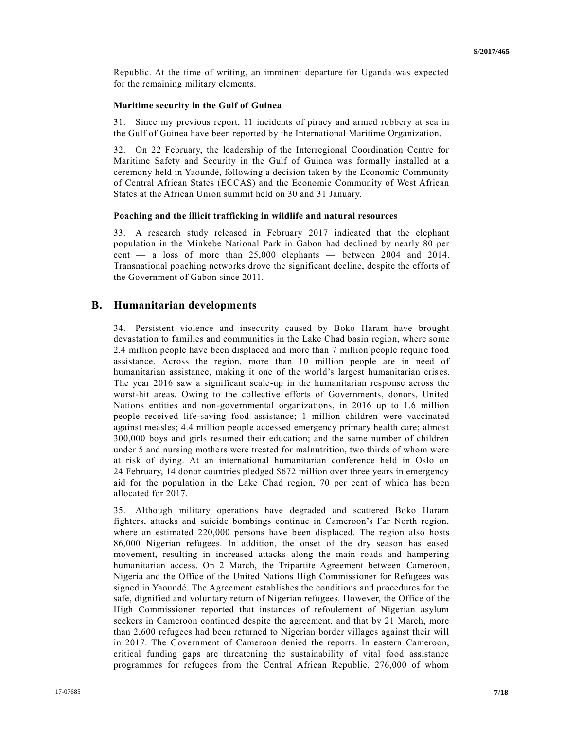Republic. At the time of writing, an imminent departure for Uganda was expected for the remaining military elements.

#### **Maritime security in the Gulf of Guinea**

31. Since my previous report, 11 incidents of piracy and armed robbery at sea in the Gulf of Guinea have been reported by the International Maritime Organization.

32. On 22 February, the leadership of the Interregional Coordination Centre for Maritime Safety and Security in the Gulf of Guinea was formally installed at a ceremony held in Yaoundé, following a decision taken by the Economic Community of Central African States (ECCAS) and the Economic Community of West African States at the African Union summit held on 30 and 31 January.

#### **Poaching and the illicit trafficking in wildlife and natural resources**

33. A research study released in February 2017 indicated that the elephant population in the Minkebe National Park in Gabon had declined by nearly 80 per cent — a loss of more than 25,000 elephants — between 2004 and 2014. Transnational poaching networks drove the significant decline, despite the efforts of the Government of Gabon since 2011.

#### **B. Humanitarian developments**

34. Persistent violence and insecurity caused by Boko Haram have brought devastation to families and communities in the Lake Chad basin region, where some 2.4 million people have been displaced and more than 7 million people require food assistance. Across the region, more than 10 million people are in need of humanitarian assistance, making it one of the world's largest humanitarian cris es. The year 2016 saw a significant scale-up in the humanitarian response across the worst-hit areas. Owing to the collective efforts of Governments, donors, United Nations entities and non-governmental organizations, in 2016 up to 1.6 million people received life-saving food assistance; 1 million children were vaccinated against measles; 4.4 million people accessed emergency primary health care; almost 300,000 boys and girls resumed their education; and the same number of children under 5 and nursing mothers were treated for malnutrition, two thirds of whom were at risk of dying. At an international humanitarian conference held in Oslo on 24 February, 14 donor countries pledged \$672 million over three years in emergency aid for the population in the Lake Chad region, 70 per cent of which has been allocated for 2017.

35. Although military operations have degraded and scattered Boko Haram fighters, attacks and suicide bombings continue in Cameroon's Far North region, where an estimated 220,000 persons have been displaced. The region also hosts 86,000 Nigerian refugees. In addition, the onset of the dry season has eased movement, resulting in increased attacks along the main roads and hampering humanitarian access. On 2 March, the Tripartite Agreement between Cameroon, Nigeria and the Office of the United Nations High Commissioner for Refugees was signed in Yaoundé. The Agreement establishes the conditions and procedures for the safe, dignified and voluntary return of Nigerian refugees. However, the Office of the High Commissioner reported that instances of refoulement of Nigerian asylum seekers in Cameroon continued despite the agreement, and that by 21 March, more than 2,600 refugees had been returned to Nigerian border villages against their will in 2017. The Government of Cameroon denied the reports. In eastern Cameroon, critical funding gaps are threatening the sustainability of vital food assistance programmes for refugees from the Central African Republic, 276,000 of whom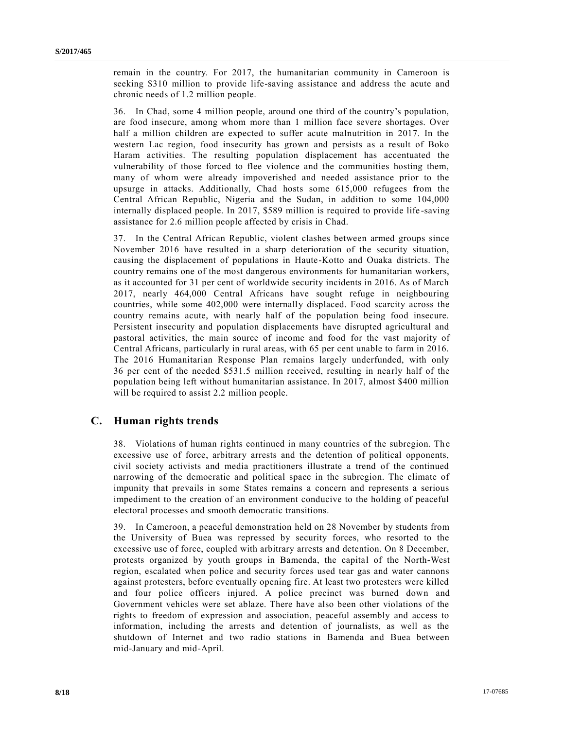remain in the country. For 2017, the humanitarian community in Cameroon is seeking \$310 million to provide life-saving assistance and address the acute and chronic needs of 1.2 million people.

36. In Chad, some 4 million people, around one third of the country's population, are food insecure, among whom more than 1 million face severe shortages. Over half a million children are expected to suffer acute malnutrition in 2017. In the western Lac region, food insecurity has grown and persists as a result of Boko Haram activities. The resulting population displacement has accentuated the vulnerability of those forced to flee violence and the communities hosting them, many of whom were already impoverished and needed assistance prior to the upsurge in attacks. Additionally, Chad hosts some 615,000 refugees from the Central African Republic, Nigeria and the Sudan, in addition to some 104,000 internally displaced people. In 2017, \$589 million is required to provide life -saving assistance for 2.6 million people affected by crisis in Chad.

37. In the Central African Republic, violent clashes between armed groups since November 2016 have resulted in a sharp deterioration of the security situation, causing the displacement of populations in Haute-Kotto and Ouaka districts. The country remains one of the most dangerous environments for humanitarian workers, as it accounted for 31 per cent of worldwide security incidents in 2016. As of March 2017, nearly 464,000 Central Africans have sought refuge in neighbouring countries, while some 402,000 were internally displaced. Food scarcity across the country remains acute, with nearly half of the population being food insecure. Persistent insecurity and population displacements have disrupted agricultural and pastoral activities, the main source of income and food for the vast majority of Central Africans, particularly in rural areas, with 65 per cent unable to farm in 2016. The 2016 Humanitarian Response Plan remains largely underfunded, with only 36 per cent of the needed \$531.5 million received, resulting in nearly half of the population being left without humanitarian assistance. In 2017, almost \$400 million will be required to assist 2.2 million people.

### **C. Human rights trends**

38. Violations of human rights continued in many countries of the subregion. The excessive use of force, arbitrary arrests and the detention of political opponents, civil society activists and media practitioners illustrate a trend of the continued narrowing of the democratic and political space in the subregion. The climate of impunity that prevails in some States remains a concern and represents a serious impediment to the creation of an environment conducive to the holding of peaceful electoral processes and smooth democratic transitions.

39. In Cameroon, a peaceful demonstration held on 28 November by students from the University of Buea was repressed by security forces, who resorted to the excessive use of force, coupled with arbitrary arrests and detention. On 8 December, protests organized by youth groups in Bamenda, the capital of the North-West region, escalated when police and security forces used tear gas and water cannons against protesters, before eventually opening fire. At least two protesters were killed and four police officers injured. A police precinct was burned down and Government vehicles were set ablaze. There have also been other violations of the rights to freedom of expression and association, peaceful assembly and access to information, including the arrests and detention of journalists, as well as the shutdown of Internet and two radio stations in Bamenda and Buea between mid-January and mid-April.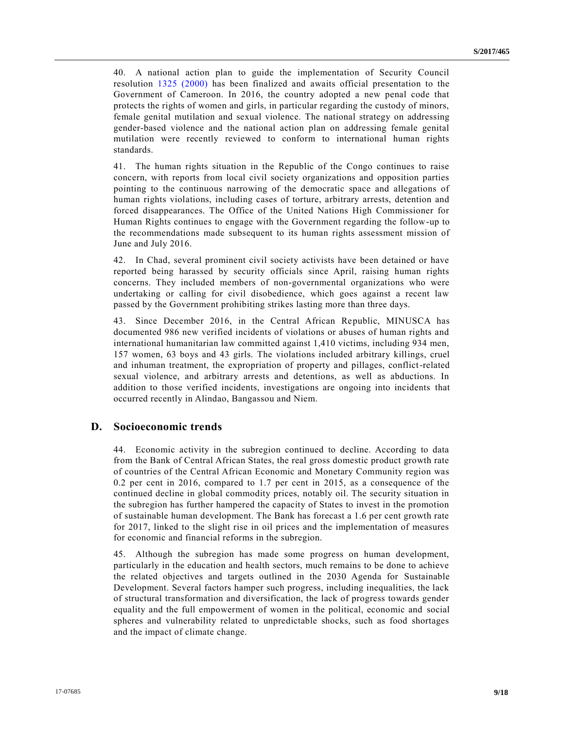40. A national action plan to guide the implementation of Security Council resolution [1325 \(2000\)](https://undocs.org/S/RES/1325(2000)) has been finalized and awaits official presentation to the Government of Cameroon. In 2016, the country adopted a new penal code that protects the rights of women and girls, in particular regarding the custody of minors, female genital mutilation and sexual violence. The national strategy on addressing gender-based violence and the national action plan on addressing female genital mutilation were recently reviewed to conform to international human rights standards.

41. The human rights situation in the Republic of the Congo continues to raise concern, with reports from local civil society organizations and opposition parties pointing to the continuous narrowing of the democratic space and allegations of human rights violations, including cases of torture, arbitrary arrests, detention and forced disappearances. The Office of the United Nations High Commissioner for Human Rights continues to engage with the Government regarding the follow-up to the recommendations made subsequent to its human rights assessment mission of June and July 2016.

42. In Chad, several prominent civil society activists have been detained or have reported being harassed by security officials since April, raising human rights concerns. They included members of non-governmental organizations who were undertaking or calling for civil disobedience, which goes against a recent law passed by the Government prohibiting strikes lasting more than three days.

43. Since December 2016, in the Central African Republic, MINUSCA has documented 986 new verified incidents of violations or abuses of human rights and international humanitarian law committed against 1,410 victims, including 934 men, 157 women, 63 boys and 43 girls. The violations included arbitrary killings, cruel and inhuman treatment, the expropriation of property and pillages, conflict-related sexual violence, and arbitrary arrests and detentions, as well as abductions. In addition to those verified incidents, investigations are ongoing into incidents that occurred recently in Alindao, Bangassou and Niem.

### **D. Socioeconomic trends**

44. Economic activity in the subregion continued to decline. According to data from the Bank of Central African States, the real gross domestic product growth rate of countries of the Central African Economic and Monetary Community region was 0.2 per cent in 2016, compared to 1.7 per cent in 2015, as a consequence of the continued decline in global commodity prices, notably oil. The security situation in the subregion has further hampered the capacity of States to invest in the promotion of sustainable human development. The Bank has forecast a 1.6 per cent growth rate for 2017, linked to the slight rise in oil prices and the implementation of measures for economic and financial reforms in the subregion.

45. Although the subregion has made some progress on human development, particularly in the education and health sectors, much remains to be done to achieve the related objectives and targets outlined in the 2030 Agenda for Sustainable Development. Several factors hamper such progress, including inequalities, the lack of structural transformation and diversification, the lack of progress towards gender equality and the full empowerment of women in the political, economic and social spheres and vulnerability related to unpredictable shocks, such as food shortages and the impact of climate change.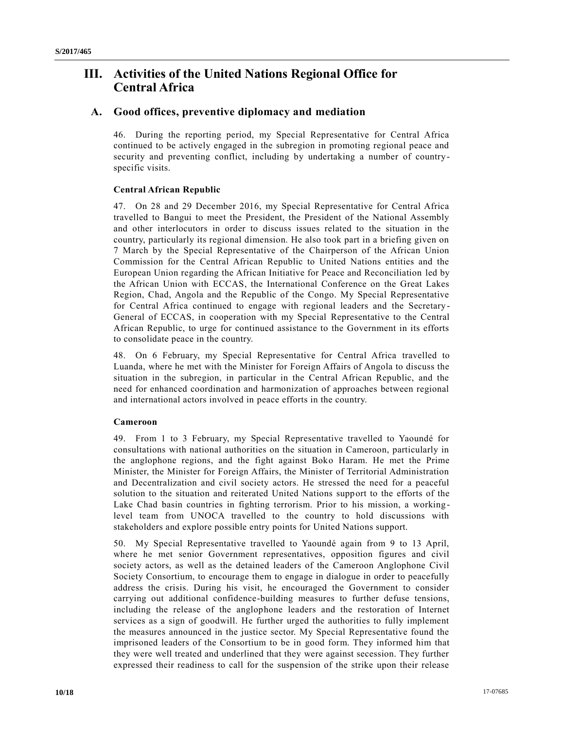# **III. Activities of the United Nations Regional Office for Central Africa**

### **A. Good offices, preventive diplomacy and mediation**

46. During the reporting period, my Special Representative for Central Africa continued to be actively engaged in the subregion in promoting regional peace and security and preventing conflict, including by undertaking a number of countryspecific visits.

### **Central African Republic**

47. On 28 and 29 December 2016, my Special Representative for Central Africa travelled to Bangui to meet the President, the President of the National Assembly and other interlocutors in order to discuss issues related to the situation in the country, particularly its regional dimension. He also took part in a briefing given on 7 March by the Special Representative of the Chairperson of the African Union Commission for the Central African Republic to United Nations entities and the European Union regarding the African Initiative for Peace and Reconciliation led by the African Union with ECCAS, the International Conference on the Great Lakes Region, Chad, Angola and the Republic of the Congo. My Special Representative for Central Africa continued to engage with regional leaders and the Secretary - General of ECCAS, in cooperation with my Special Representative to the Central African Republic, to urge for continued assistance to the Government in its efforts to consolidate peace in the country.

48. On 6 February, my Special Representative for Central Africa travelled to Luanda, where he met with the Minister for Foreign Affairs of Angola to discuss the situation in the subregion, in particular in the Central African Republic, and the need for enhanced coordination and harmonization of approaches between regional and international actors involved in peace efforts in the country.

#### **Cameroon**

49. From 1 to 3 February, my Special Representative travelled to Yaoundé for consultations with national authorities on the situation in Cameroon, particularly in the anglophone regions, and the fight against Boko Haram. He met the Prime Minister, the Minister for Foreign Affairs, the Minister of Territorial Administration and Decentralization and civil society actors. He stressed the need for a peaceful solution to the situation and reiterated United Nations support to the efforts of the Lake Chad basin countries in fighting terrorism. Prior to his mission, a working level team from UNOCA travelled to the country to hold discussions with stakeholders and explore possible entry points for United Nations support.

50. My Special Representative travelled to Yaoundé again from 9 to 13 April, where he met senior Government representatives, opposition figures and civil society actors, as well as the detained leaders of the Cameroon Anglophone Civil Society Consortium, to encourage them to engage in dialogue in order to peacefully address the crisis. During his visit, he encouraged the Government to consider carrying out additional confidence-building measures to further defuse tensions, including the release of the anglophone leaders and the restoration of Internet services as a sign of goodwill. He further urged the authorities to fully implement the measures announced in the justice sector. My Special Representative found the imprisoned leaders of the Consortium to be in good form. They informed him that they were well treated and underlined that they were against secession. They further expressed their readiness to call for the suspension of the strike upon their release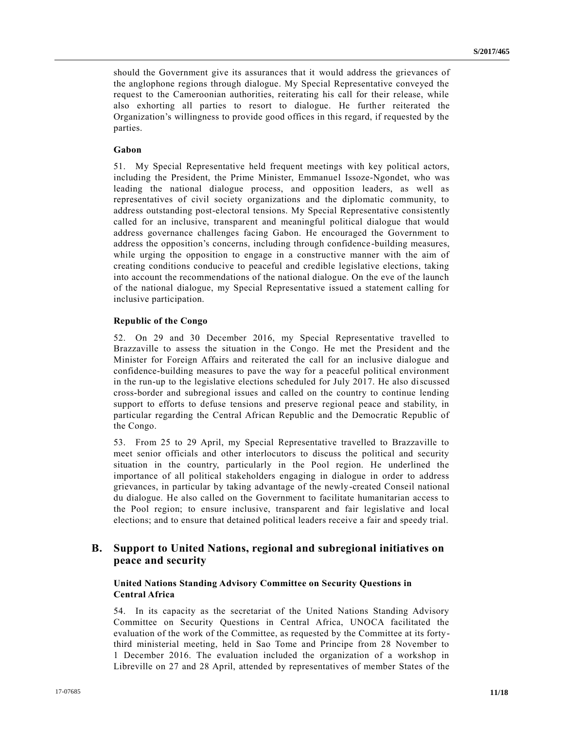should the Government give its assurances that it would address the grievances of the anglophone regions through dialogue. My Special Representative conveyed the request to the Cameroonian authorities, reiterating his call for their release, while also exhorting all parties to resort to dialogue. He further reiterated the Organization's willingness to provide good offices in this regard, if requested by the parties.

#### **Gabon**

51. My Special Representative held frequent meetings with key political actors, including the President, the Prime Minister, Emmanuel Issoze-Ngondet, who was leading the national dialogue process, and opposition leaders, as well as representatives of civil society organizations and the diplomatic community, to address outstanding post-electoral tensions. My Special Representative consistently called for an inclusive, transparent and meaningful political dialogue that would address governance challenges facing Gabon. He encouraged the Government to address the opposition's concerns, including through confidence -building measures, while urging the opposition to engage in a constructive manner with the aim of creating conditions conducive to peaceful and credible legislative elections, taking into account the recommendations of the national dialogue. On the eve of the launch of the national dialogue, my Special Representative issued a statement calling for inclusive participation.

#### **Republic of the Congo**

52. On 29 and 30 December 2016, my Special Representative travelled to Brazzaville to assess the situation in the Congo. He met the President and the Minister for Foreign Affairs and reiterated the call for an inclusive dialogue and confidence-building measures to pave the way for a peaceful political environment in the run-up to the legislative elections scheduled for July 2017. He also discussed cross-border and subregional issues and called on the country to continue lending support to efforts to defuse tensions and preserve regional peace and stability, in particular regarding the Central African Republic and the Democratic Republic of the Congo.

53. From 25 to 29 April, my Special Representative travelled to Brazzaville to meet senior officials and other interlocutors to discuss the political and security situation in the country, particularly in the Pool region. He underlined the importance of all political stakeholders engaging in dialogue in order to address grievances, in particular by taking advantage of the newly-created Conseil national du dialogue. He also called on the Government to facilitate humanitarian access to the Pool region; to ensure inclusive, transparent and fair legislative and local elections; and to ensure that detained political leaders receive a fair and speedy trial.

### **B. Support to United Nations, regional and subregional initiatives on peace and security**

#### **United Nations Standing Advisory Committee on Security Questions in Central Africa**

54. In its capacity as the secretariat of the United Nations Standing Advisory Committee on Security Questions in Central Africa, UNOCA facilitated the evaluation of the work of the Committee, as requested by the Committee at its fortythird ministerial meeting, held in Sao Tome and Principe from 28 November to 1 December 2016. The evaluation included the organization of a workshop in Libreville on 27 and 28 April, attended by representatives of member States of the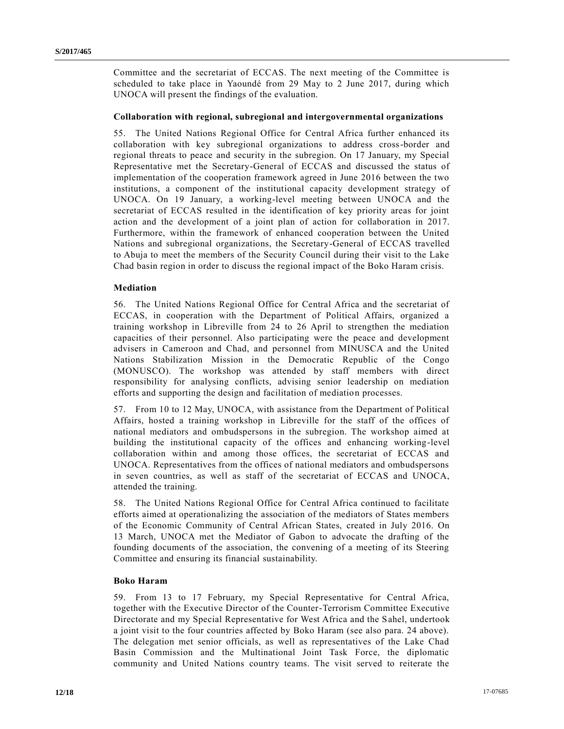Committee and the secretariat of ECCAS. The next meeting of the Committee is scheduled to take place in Yaoundé from 29 May to 2 June 2017, during which UNOCA will present the findings of the evaluation.

#### **Collaboration with regional, subregional and intergovernmental organizations**

55. The United Nations Regional Office for Central Africa further enhanced its collaboration with key subregional organizations to address cross-border and regional threats to peace and security in the subregion. On 17 January, my Special Representative met the Secretary-General of ECCAS and discussed the status of implementation of the cooperation framework agreed in June 2016 between the two institutions, a component of the institutional capacity development strategy of UNOCA. On 19 January, a working-level meeting between UNOCA and the secretariat of ECCAS resulted in the identification of key priority areas for joint action and the development of a joint plan of action for collabor ation in 2017. Furthermore, within the framework of enhanced cooperation between the United Nations and subregional organizations, the Secretary-General of ECCAS travelled to Abuja to meet the members of the Security Council during their visit to the Lake Chad basin region in order to discuss the regional impact of the Boko Haram crisis.

#### **Mediation**

56. The United Nations Regional Office for Central Africa and the secretariat of ECCAS, in cooperation with the Department of Political Affairs, organized a training workshop in Libreville from 24 to 26 April to strengthen the mediation capacities of their personnel. Also participating were the peace and development advisers in Cameroon and Chad, and personnel from MINUSCA and the United Nations Stabilization Mission in the Democratic Republic of the Congo (MONUSCO). The workshop was attended by staff members with direct responsibility for analysing conflicts, advising senior leadership on mediation efforts and supporting the design and facilitation of mediation processes.

57. From 10 to 12 May, UNOCA, with assistance from the Department of Political Affairs, hosted a training workshop in Libreville for the staff of the offices of national mediators and ombudspersons in the subregion. The workshop aimed at building the institutional capacity of the offices and enhancing working-level collaboration within and among those offices, the secretariat of ECCAS and UNOCA. Representatives from the offices of national mediators and ombudspersons in seven countries, as well as staff of the secretariat of ECCAS and UNOCA, attended the training.

58. The United Nations Regional Office for Central Africa continued to facilitate efforts aimed at operationalizing the association of the mediators of States members of the Economic Community of Central African States, created in July 2016. On 13 March, UNOCA met the Mediator of Gabon to advocate the drafting of the founding documents of the association, the convening of a meeting of its Steering Committee and ensuring its financial sustainability.

#### **Boko Haram**

59. From 13 to 17 February, my Special Representative for Central Africa, together with the Executive Director of the Counter-Terrorism Committee Executive Directorate and my Special Representative for West Africa and the Sahel, undertook a joint visit to the four countries affected by Boko Haram (see also para. 24 above). The delegation met senior officials, as well as representatives of the Lake Chad Basin Commission and the Multinational Joint Task Force, the diplomatic community and United Nations country teams. The visit served to reiterate the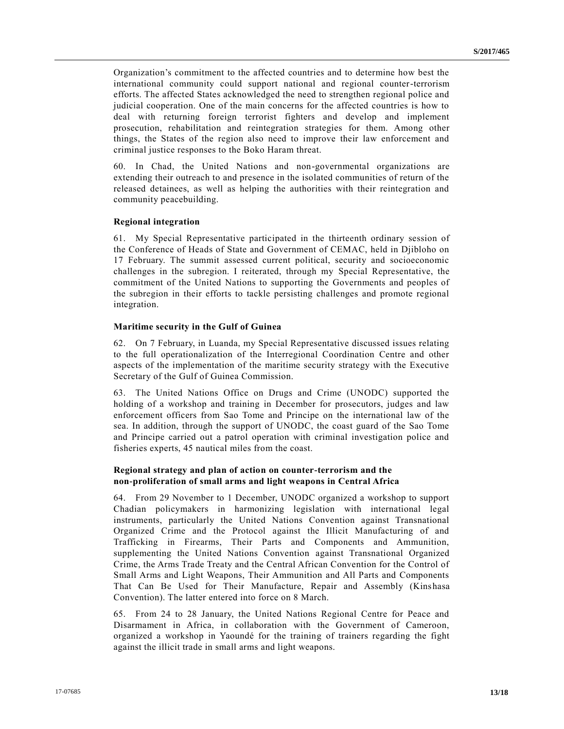Organization's commitment to the affected countries and to determine how best the international community could support national and regional counter-terrorism efforts. The affected States acknowledged the need to strengthen regional police and judicial cooperation. One of the main concerns for the affected countries is how to deal with returning foreign terrorist fighters and develop and implement prosecution, rehabilitation and reintegration strategies for them. Among other things, the States of the region also need to improve their law enforcement and criminal justice responses to the Boko Haram threat.

60. In Chad, the United Nations and non-governmental organizations are extending their outreach to and presence in the isolated communities of return of the released detainees, as well as helping the authorities with their reintegration and community peacebuilding.

#### **Regional integration**

61. My Special Representative participated in the thirteenth ordinary session of the Conference of Heads of State and Government of CEMAC, held in Djibloho on 17 February. The summit assessed current political, security and socioeconomic challenges in the subregion. I reiterated, through my Special Representative, the commitment of the United Nations to supporting the Governments and peoples of the subregion in their efforts to tackle persisting challenges and promote regional integration.

#### **Maritime security in the Gulf of Guinea**

62. On 7 February, in Luanda, my Special Representative discussed issues relating to the full operationalization of the Interregional Coordination Centre and other aspects of the implementation of the maritime security strategy with the Executive Secretary of the Gulf of Guinea Commission.

63. The United Nations Office on Drugs and Crime (UNODC) supported the holding of a workshop and training in December for prosecutors, judges and law enforcement officers from Sao Tome and Principe on the international law of the sea. In addition, through the support of UNODC, the coast guard of the Sao Tome and Principe carried out a patrol operation with criminal investigation police and fisheries experts, 45 nautical miles from the coast.

#### **Regional strategy and plan of action on counter-terrorism and the non-proliferation of small arms and light weapons in Central Africa**

64. From 29 November to 1 December, UNODC organized a workshop to support Chadian policymakers in harmonizing legislation with international legal instruments, particularly the United Nations Convention against Transnational Organized Crime and the Protocol against the Illicit Manufacturing of and Trafficking in Firearms, Their Parts and Components and Ammunition, supplementing the United Nations Convention against Transnational Organized Crime, the Arms Trade Treaty and the Central African Convention for the Control of Small Arms and Light Weapons, Their Ammunition and All Parts and Components That Can Be Used for Their Manufacture, Repair and Assembly (Kinshasa Convention). The latter entered into force on 8 March.

65. From 24 to 28 January, the United Nations Regional Centre for Peace and Disarmament in Africa, in collaboration with the Government of Cameroon, organized a workshop in Yaoundé for the training of trainers regarding the fight against the illicit trade in small arms and light weapons.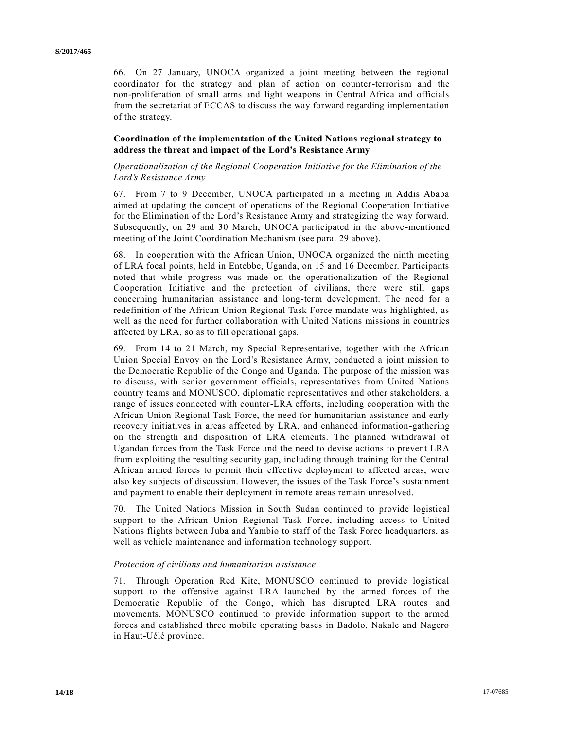66. On 27 January, UNOCA organized a joint meeting between the regional coordinator for the strategy and plan of action on counter-terrorism and the non-proliferation of small arms and light weapons in Central Africa and officials from the secretariat of ECCAS to discuss the way forward regarding implementation of the strategy.

#### **Coordination of the implementation of the United Nations regional strategy to address the threat and impact of the Lord's Resistance Army**

#### *Operationalization of the Regional Cooperation Initiative for the Elimination of the Lord's Resistance Army*

67. From 7 to 9 December, UNOCA participated in a meeting in Addis Ababa aimed at updating the concept of operations of the Regional Cooperation Initiative for the Elimination of the Lord's Resistance Army and strategizing the way forward. Subsequently, on 29 and 30 March, UNOCA participated in the above-mentioned meeting of the Joint Coordination Mechanism (see para. 29 above).

68. In cooperation with the African Union, UNOCA organized the ninth meeting of LRA focal points, held in Entebbe, Uganda, on 15 and 16 December. Participants noted that while progress was made on the operationalization of the Regional Cooperation Initiative and the protection of civilians, there were still gaps concerning humanitarian assistance and long-term development. The need for a redefinition of the African Union Regional Task Force mandate was highlighted, as well as the need for further collaboration with United Nations missions in countries affected by LRA, so as to fill operational gaps.

69. From 14 to 21 March, my Special Representative, together with the African Union Special Envoy on the Lord's Resistance Army, conducted a joint mission to the Democratic Republic of the Congo and Uganda. The purpose of the mission was to discuss, with senior government officials, representatives from United Nations country teams and MONUSCO, diplomatic representatives and other stakeholders, a range of issues connected with counter-LRA efforts, including cooperation with the African Union Regional Task Force, the need for humanitarian assistance and early recovery initiatives in areas affected by LRA, and enhanced information-gathering on the strength and disposition of LRA elements. The planned withdrawal of Ugandan forces from the Task Force and the need to devise actions to prevent LRA from exploiting the resulting security gap, including through training for the Central African armed forces to permit their effective deployment to affected areas, were also key subjects of discussion. However, the issues of the Task Force's sustainment and payment to enable their deployment in remote areas remain unresolved.

70. The United Nations Mission in South Sudan continued to provide logistical support to the African Union Regional Task Force, including access to United Nations flights between Juba and Yambio to staff of the Task Force headquarters, as well as vehicle maintenance and information technology support.

#### *Protection of civilians and humanitarian assistance*

71. Through Operation Red Kite, MONUSCO continued to provide logistical support to the offensive against LRA launched by the armed forces of the Democratic Republic of the Congo, which has disrupted LRA routes and movements. MONUSCO continued to provide information support to the armed forces and established three mobile operating bases in Badolo, Nakale and Nagero in Haut-Uélé province.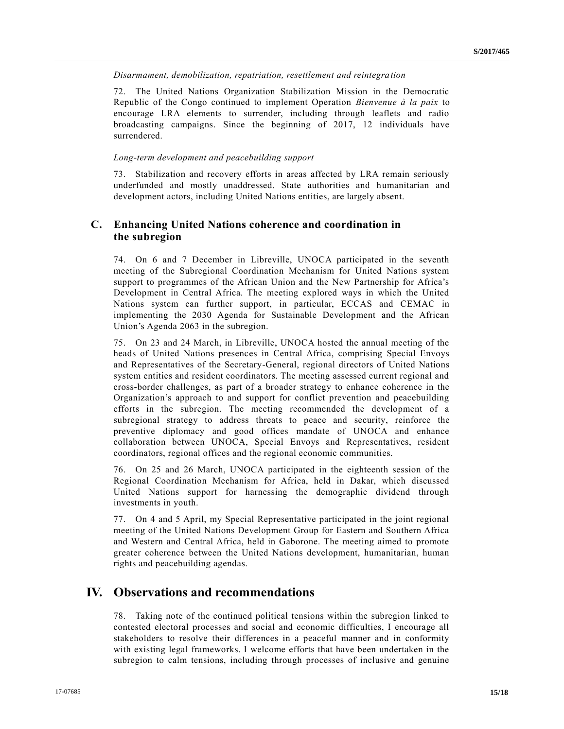*Disarmament, demobilization, repatriation, resettlement and reintegration*

72. The United Nations Organization Stabilization Mission in the Democratic Republic of the Congo continued to implement Operation *Bienvenue à la paix* to encourage LRA elements to surrender, including through leaflets and radio broadcasting campaigns. Since the beginning of 2017, 12 individuals have surrendered.

#### *Long-term development and peacebuilding support*

73. Stabilization and recovery efforts in areas affected by LRA remain seriously underfunded and mostly unaddressed. State authorities and humanitarian and development actors, including United Nations entities, are largely absent.

## **C. Enhancing United Nations coherence and coordination in the subregion**

74. On 6 and 7 December in Libreville, UNOCA participated in the seventh meeting of the Subregional Coordination Mechanism for United Nations system support to programmes of the African Union and the New Partnership for Africa's Development in Central Africa. The meeting explored ways in which the United Nations system can further support, in particular, ECCAS and CEMAC in implementing the 2030 Agenda for Sustainable Development and the African Union's Agenda 2063 in the subregion.

75. On 23 and 24 March, in Libreville, UNOCA hosted the annual meeting of the heads of United Nations presences in Central Africa, comprising Special Envoys and Representatives of the Secretary-General, regional directors of United Nations system entities and resident coordinators. The meeting assessed current regional and cross-border challenges, as part of a broader strategy to enhance coherence in the Organization's approach to and support for conflict prevention and peacebuilding efforts in the subregion. The meeting recommended the development of a subregional strategy to address threats to peace and security, reinforce the preventive diplomacy and good offices mandate of UNOCA and enhance collaboration between UNOCA, Special Envoys and Representatives, resident coordinators, regional offices and the regional economic communities.

76. On 25 and 26 March, UNOCA participated in the eighteenth session of the Regional Coordination Mechanism for Africa, held in Dakar, which discussed United Nations support for harnessing the demographic dividend through investments in youth.

77. On 4 and 5 April, my Special Representative participated in the joint regional meeting of the United Nations Development Group for Eastern and Southern Africa and Western and Central Africa, held in Gaborone. The meeting aimed to promote greater coherence between the United Nations development, humanitarian, human rights and peacebuilding agendas.

## **IV. Observations and recommendations**

78. Taking note of the continued political tensions within the subregion linked to contested electoral processes and social and economic difficulties, I encourage all stakeholders to resolve their differences in a peaceful manner and in conformity with existing legal frameworks. I welcome efforts that have been undertaken in the subregion to calm tensions, including through processes of inclusive and genuine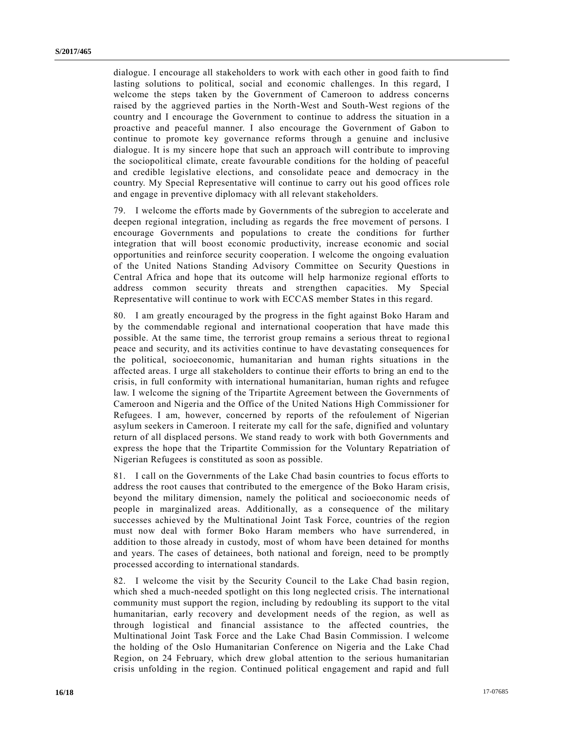dialogue. I encourage all stakeholders to work with each other in good faith to find lasting solutions to political, social and economic challenges. In this regard, I welcome the steps taken by the Government of Cameroon to address concerns raised by the aggrieved parties in the North-West and South-West regions of the country and I encourage the Government to continue to address the situation in a proactive and peaceful manner. I also encourage the Government of Gabon to continue to promote key governance reforms through a genuine and inclusive dialogue. It is my sincere hope that such an approach will contribute to improving the sociopolitical climate, create favourable conditions for the holding of peaceful and credible legislative elections, and consolidate peace and democracy in the country. My Special Representative will continue to carry out his good offices role and engage in preventive diplomacy with all relevant stakeholders.

79. I welcome the efforts made by Governments of the subregion to accelerate and deepen regional integration, including as regards the free movement of persons. I encourage Governments and populations to create the conditions for further integration that will boost economic productivity, increase economic and social opportunities and reinforce security cooperation. I welcome the ongoing evaluation of the United Nations Standing Advisory Committee on Security Questions in Central Africa and hope that its outcome will help harmonize regional efforts to address common security threats and strengthen capacities. My Special Representative will continue to work with ECCAS member States in this regard.

80. I am greatly encouraged by the progress in the fight against Boko Haram and by the commendable regional and international cooperation that have made this possible. At the same time, the terrorist group remains a serious threat to regiona l peace and security, and its activities continue to have devastating consequences for the political, socioeconomic, humanitarian and human rights situations in the affected areas. I urge all stakeholders to continue their efforts to bring an end to the crisis, in full conformity with international humanitarian, human rights and refugee law. I welcome the signing of the Tripartite Agreement between the Governments of Cameroon and Nigeria and the Office of the United Nations High Commissioner for Refugees. I am, however, concerned by reports of the refoulement of Nigerian asylum seekers in Cameroon. I reiterate my call for the safe, dignified and voluntary return of all displaced persons. We stand ready to work with both Governments and express the hope that the Tripartite Commission for the Voluntary Repatriation of Nigerian Refugees is constituted as soon as possible.

81. I call on the Governments of the Lake Chad basin countries to focus efforts to address the root causes that contributed to the emergence of the Boko Haram crisis, beyond the military dimension, namely the political and socioeconomic needs of people in marginalized areas. Additionally, as a consequence of the military successes achieved by the Multinational Joint Task Force, countries of the region must now deal with former Boko Haram members who have surrendered, in addition to those already in custody, most of whom have been detained for months and years. The cases of detainees, both national and foreign, need to be promptly processed according to international standards.

82. I welcome the visit by the Security Council to the Lake Chad basin region, which shed a much-needed spotlight on this long neglected crisis. The international community must support the region, including by redoubling its support to the vital humanitarian, early recovery and development needs of the region, as well as through logistical and financial assistance to the affected countries, the Multinational Joint Task Force and the Lake Chad Basin Commission. I welcome the holding of the Oslo Humanitarian Conference on Nigeria and the Lake Chad Region, on 24 February, which drew global attention to the serious humanitarian crisis unfolding in the region. Continued political engagement and rapid and full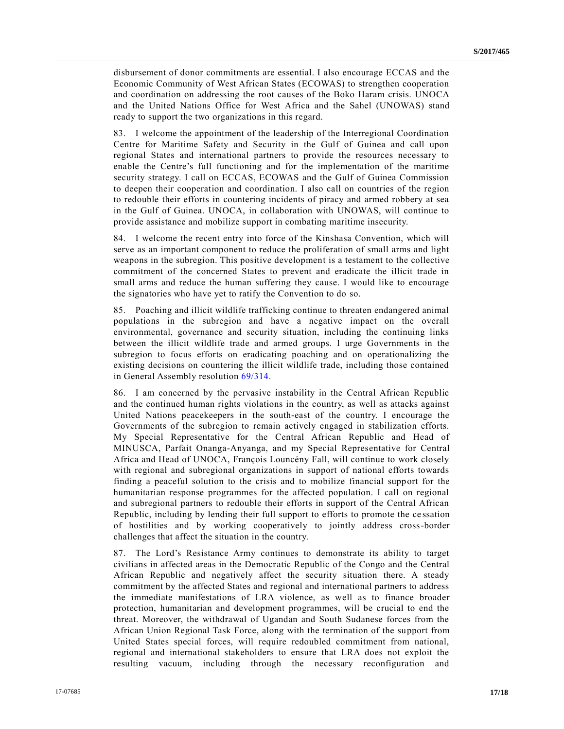disbursement of donor commitments are essential. I also encourage ECCAS and the Economic Community of West African States (ECOWAS) to strengthen cooperation and coordination on addressing the root causes of the Boko Haram crisis. UNOCA and the United Nations Office for West Africa and the Sahel (UNOWAS) stand ready to support the two organizations in this regard.

83. I welcome the appointment of the leadership of the Interregional Coordination Centre for Maritime Safety and Security in the Gulf of Guinea and call upon regional States and international partners to provide the resources necessary to enable the Centre's full functioning and for the implementation of the maritime security strategy. I call on ECCAS, ECOWAS and the Gulf of Guinea Commission to deepen their cooperation and coordination. I also call on countries of the region to redouble their efforts in countering incidents of piracy and armed robbery at sea in the Gulf of Guinea. UNOCA, in collaboration with UNOWAS, will continue to provide assistance and mobilize support in combating maritime insecurity.

84. I welcome the recent entry into force of the Kinshasa Convention, which will serve as an important component to reduce the proliferation of small arms and light weapons in the subregion. This positive development is a testament to the collective commitment of the concerned States to prevent and eradicate the illicit trade in small arms and reduce the human suffering they cause. I would like to encourage the signatories who have yet to ratify the Convention to do so.

85. Poaching and illicit wildlife trafficking continue to threaten endangered animal populations in the subregion and have a negative impact on the overall environmental, governance and security situation, including the continuing links between the illicit wildlife trade and armed groups. I urge Governments in the subregion to focus efforts on eradicating poaching and on operationalizing the existing decisions on countering the illicit wildlife trade, including those contained in General Assembly resolution [69/314.](https://undocs.org/A/RES/69/314)

86. I am concerned by the pervasive instability in the Central African Republic and the continued human rights violations in the country, as well as attacks against United Nations peacekeepers in the south-east of the country. I encourage the Governments of the subregion to remain actively engaged in stabilization efforts. My Special Representative for the Central African Republic and Head of MINUSCA, Parfait Onanga-Anyanga, and my Special Representative for Central Africa and Head of UNOCA, François Louncény Fall, will continue to work closely with regional and subregional organizations in support of national efforts towards finding a peaceful solution to the crisis and to mobilize financial support for the humanitarian response programmes for the affected population. I call on regional and subregional partners to redouble their efforts in support of the Central African Republic, including by lending their full support to efforts to promote the ce ssation of hostilities and by working cooperatively to jointly address cross-border challenges that affect the situation in the country.

87. The Lord's Resistance Army continues to demonstrate its ability to target civilians in affected areas in the Democratic Republic of the Congo and the Central African Republic and negatively affect the security situation there. A steady commitment by the affected States and regional and international partners to address the immediate manifestations of LRA violence, as well as to finance broader protection, humanitarian and development programmes, will be crucial to end the threat. Moreover, the withdrawal of Ugandan and South Sudanese forces from the African Union Regional Task Force, along with the termination of the support from United States special forces, will require redoubled commitment from national, regional and international stakeholders to ensure that LRA does not exploit the resulting vacuum, including through the necessary reconfiguration and